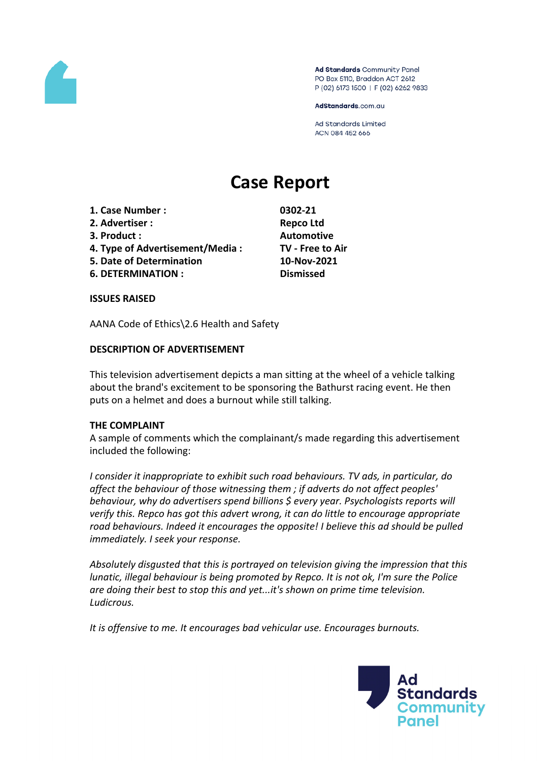

Ad Standards Community Panel PO Box 5110, Braddon ACT 2612 P (02) 6173 1500 | F (02) 6262 9833

AdStandards.com.au

**Ad Standards Limited** ACN 084 452 666

# **Case Report**

- **1. Case Number : 0302-21**
- **2. Advertiser : Repco Ltd**
- **3. Product : Automotive**
- **4. Type of Advertisement/Media : TV - Free to Air**
- **5. Date of Determination 10-Nov-2021**
- **6. DETERMINATION : Dismissed**

**ISSUES RAISED**

AANA Code of Ethics\2.6 Health and Safety

## **DESCRIPTION OF ADVERTISEMENT**

This television advertisement depicts a man sitting at the wheel of a vehicle talking about the brand's excitement to be sponsoring the Bathurst racing event. He then puts on a helmet and does a burnout while still talking.

## **THE COMPLAINT**

A sample of comments which the complainant/s made regarding this advertisement included the following:

*I consider it inappropriate to exhibit such road behaviours. TV ads, in particular, do affect the behaviour of those witnessing them ; if adverts do not affect peoples' behaviour, why do advertisers spend billions \$ every year. Psychologists reports will verify this. Repco has got this advert wrong, it can do little to encourage appropriate road behaviours. Indeed it encourages the opposite! I believe this ad should be pulled immediately. I seek your response.*

*Absolutely disgusted that this is portrayed on television giving the impression that this lunatic, illegal behaviour is being promoted by Repco. It is not ok, I'm sure the Police are doing their best to stop this and yet...it's shown on prime time television. Ludicrous.*

*It is offensive to me. It encourages bad vehicular use. Encourages burnouts.*

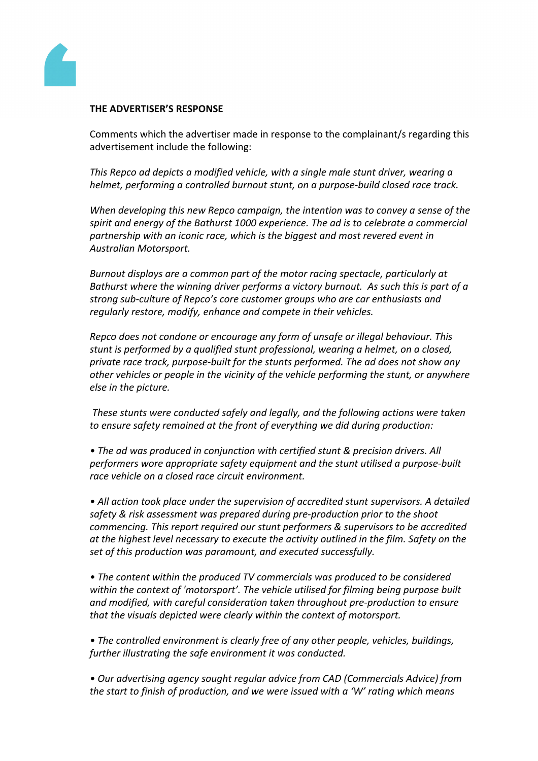

#### **THE ADVERTISER'S RESPONSE**

Comments which the advertiser made in response to the complainant/s regarding this advertisement include the following:

*This Repco ad depicts a modified vehicle, with a single male stunt driver, wearing a helmet, performing a controlled burnout stunt, on a purpose-build closed race track.*

*When developing this new Repco campaign, the intention was to convey a sense of the spirit and energy of the Bathurst 1000 experience. The ad is to celebrate a commercial partnership with an iconic race, which is the biggest and most revered event in Australian Motorsport.*

*Burnout displays are a common part of the motor racing spectacle, particularly at Bathurst where the winning driver performs a victory burnout. As such this is part of a strong sub-culture of Repco's core customer groups who are car enthusiasts and regularly restore, modify, enhance and compete in their vehicles.* 

*Repco does not condone or encourage any form of unsafe or illegal behaviour. This stunt is performed by a qualified stunt professional, wearing a helmet, on a closed, private race track, purpose-built for the stunts performed. The ad does not show any other vehicles or people in the vicinity of the vehicle performing the stunt, or anywhere else in the picture.*

*These stunts were conducted safely and legally, and the following actions were taken to ensure safety remained at the front of everything we did during production:*

*• The ad was produced in conjunction with certified stunt & precision drivers. All performers wore appropriate safety equipment and the stunt utilised a purpose-built race vehicle on a closed race circuit environment.* 

*• All action took place under the supervision of accredited stunt supervisors. A detailed safety & risk assessment was prepared during pre-production prior to the shoot commencing. This report required our stunt performers & supervisors to be accredited at the highest level necessary to execute the activity outlined in the film. Safety on the set of this production was paramount, and executed successfully.*

*• The content within the produced TV commercials was produced to be considered within the context of 'motorsport'. The vehicle utilised for filming being purpose built and modified, with careful consideration taken throughout pre-production to ensure that the visuals depicted were clearly within the context of motorsport.*

*• The controlled environment is clearly free of any other people, vehicles, buildings, further illustrating the safe environment it was conducted.*

*• Our advertising agency sought regular advice from CAD (Commercials Advice) from the start to finish of production, and we were issued with a 'W' rating which means*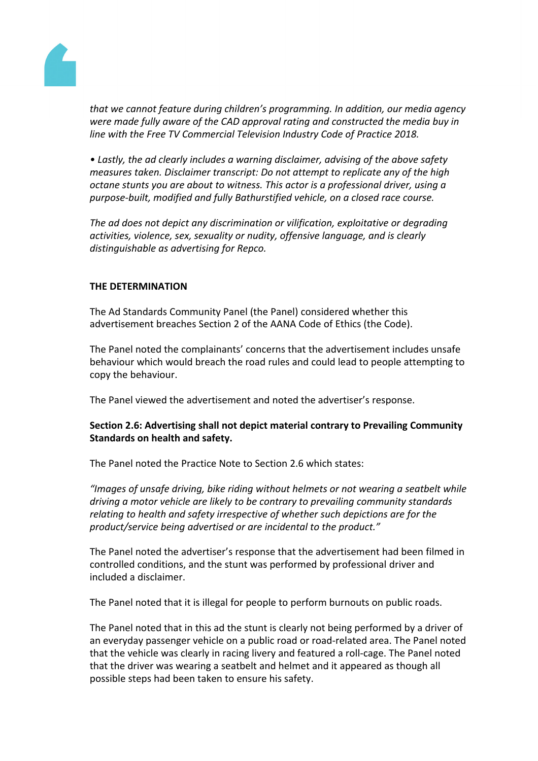

*that we cannot feature during children's programming. In addition, our media agency were made fully aware of the CAD approval rating and constructed the media buy in line with the Free TV Commercial Television Industry Code of Practice 2018.*

*• Lastly, the ad clearly includes a warning disclaimer, advising of the above safety measures taken. Disclaimer transcript: Do not attempt to replicate any of the high octane stunts you are about to witness. This actor is a professional driver, using a purpose-built, modified and fully Bathurstified vehicle, on a closed race course.*

*The ad does not depict any discrimination or vilification, exploitative or degrading activities, violence, sex, sexuality or nudity, offensive language, and is clearly distinguishable as advertising for Repco.*

# **THE DETERMINATION**

The Ad Standards Community Panel (the Panel) considered whether this advertisement breaches Section 2 of the AANA Code of Ethics (the Code).

The Panel noted the complainants' concerns that the advertisement includes unsafe behaviour which would breach the road rules and could lead to people attempting to copy the behaviour.

The Panel viewed the advertisement and noted the advertiser's response.

# **Section 2.6: Advertising shall not depict material contrary to Prevailing Community Standards on health and safety.**

The Panel noted the Practice Note to Section 2.6 which states:

*"Images of unsafe driving, bike riding without helmets or not wearing a seatbelt while driving a motor vehicle are likely to be contrary to prevailing community standards relating to health and safety irrespective of whether such depictions are for the product/service being advertised or are incidental to the product."*

The Panel noted the advertiser's response that the advertisement had been filmed in controlled conditions, and the stunt was performed by professional driver and included a disclaimer.

The Panel noted that it is illegal for people to perform burnouts on public roads.

The Panel noted that in this ad the stunt is clearly not being performed by a driver of an everyday passenger vehicle on a public road or road-related area. The Panel noted that the vehicle was clearly in racing livery and featured a roll-cage. The Panel noted that the driver was wearing a seatbelt and helmet and it appeared as though all possible steps had been taken to ensure his safety.